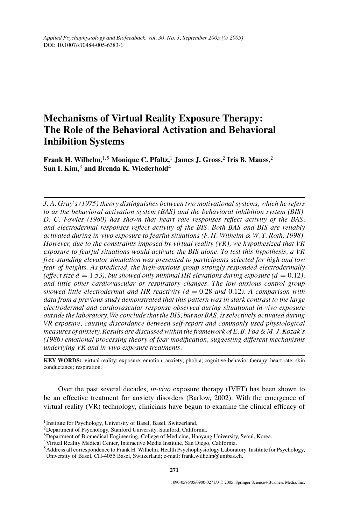# **Mechanisms of Virtual Reality Exposure Therapy: The Role of the Behavioral Activation and Behavioral Inhibition Systems**

**Frank H. Wilhelm,**1*,*<sup>5</sup> **Monique C. Pfaltz,**<sup>1</sup> **James J. Gross,**<sup>2</sup> **Iris B. Mauss,**<sup>2</sup> Sun I. Kim,<sup>3</sup> and Brenda K. Wiederhold<sup>4</sup>

*J. A. Gray's (1975) theory distinguishes between two motivational systems, which he refers to as the behavioral activation system (BAS) and the behavioral inhibition system (BIS). D. C. Fowles (1980) has shown that heart rate responses reflect activity of the BAS, and electrodermal responses reflect activity of the BIS. Both BAS and BIS are reliably activated during in-vivo exposure to fearful situations (F. H. Wilhelm & W. T. Roth, 1998). However, due to the constraints imposed by virtual reality (VR), we hypothesized that VR exposure to fearful situations would activate the BIS alone. To test this hypothesis, a VR free-standing elevator simulation was presented to participants selected for high and low fear of heights. As predicted, the high-anxious group strongly responded electrodermally (effect size d* = 1.53), but showed only minimal HR elevations during exposure ( $d = 0.12$ ), *and little other cardiovascular or respiratory changes. The low-anxious control group showed little electrodermal and HR reactivity (d* = 0*.*28 *and* 0*.*12*). A comparison with data from a previous study demonstrated that this pattern was in stark contrast to the large electrodermal and cardiovascular response observed during situational in-vivo exposure outside the laboratory. We conclude that the BIS, but not BAS, is selectively activated during VR exposure, causing discordance between self-report and commonly used physiological measures of anxiety. Results are discussed within the framework of E. B. Foa & M. J. Kozak's (1986) emotional processing theory of fear modification, suggesting different mechanisms underlying VR and in-vivo exposure treatments.*

**KEY WORDS:** virtual reality; exposure; emotion; anxiety; phobia; cognitive-behavior therapy; heart rate; skin conductance; respiration.

Over the past several decades, *in-vivo* exposure therapy (IVET) has been shown to be an effective treatment for anxiety disorders (Barlow, 2002). With the emergence of virtual reality (VR) technology, clinicians have begun to examine the clinical efficacy of

<sup>&</sup>lt;sup>1</sup> Institute for Psychology, University of Basel, Basel, Switzerland.

<sup>2</sup>Department of Psychology, Stanford University, Stanford, California.

<sup>&</sup>lt;sup>3</sup>Department of Biomedical Engineering, College of Medicine, Hanyang University, Seoul, Korea.

<sup>4</sup>Virtual Reality Medical Center, Interactive Media Institute, San Diego, California.

<sup>5</sup>Address all correspondence to Frank H. Wilhelm, Health Psychophysiology Laboratory, Institute for Psychology, University of Basel, CH-4055 Basel, Switzerland; e-mail: frank.wilhelm@unibas.ch.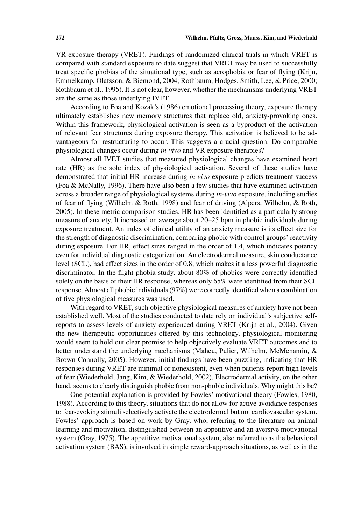VR exposure therapy (VRET). Findings of randomized clinical trials in which VRET is compared with standard exposure to date suggest that VRET may be used to successfully treat specific phobias of the situational type, such as acrophobia or fear of flying (Krijn, Emmelkamp, Olafsson, & Biemond, 2004; Rothbaum, Hodges, Smith, Lee, & Price, 2000; Rothbaum et al., 1995). It is not clear, however, whether the mechanisms underlying VRET are the same as those underlying IVET.

According to Foa and Kozak's (1986) emotional processing theory, exposure therapy ultimately establishes new memory structures that replace old, anxiety-provoking ones. Within this framework, physiological activation is seen as a byproduct of the activation of relevant fear structures during exposure therapy. This activation is believed to be advantageous for restructuring to occur. This suggests a crucial question: Do comparable physiological changes occur during *in-vivo* and VR exposure therapies?

Almost all IVET studies that measured physiological changes have examined heart rate (HR) as the sole index of physiological activation. Several of these studies have demonstrated that initial HR increase during *in-vivo* exposure predicts treatment success (Foa & McNally, 1996). There have also been a few studies that have examined activation across a broader range of physiological systems during *in-vivo* exposure, including studies of fear of flying (Wilhelm & Roth, 1998) and fear of driving (Alpers, Wilhelm, & Roth, 2005). In these metric comparison studies, HR has been identified as a particularly strong measure of anxiety. It increased on average about 20–25 bpm in phobic individuals during exposure treatment. An index of clinical utility of an anxiety measure is its effect size for the strength of diagnostic discrimination, comparing phobic with control groups' reactivity during exposure. For HR, effect sizes ranged in the order of 1.4, which indicates potency even for individual diagnostic categorization. An electrodermal measure, skin conductance level (SCL), had effect sizes in the order of 0.8, which makes it a less powerful diagnostic discriminator. In the flight phobia study, about 80% of phobics were correctly identified solely on the basis of their HR response, whereas only 65% were identified from their SCL response. Almost all phobic individuals (97%) were correctly identified when a combination of five physiological measures was used.

With regard to VRET, such objective physiological measures of anxiety have not been established well. Most of the studies conducted to date rely on individual's subjective selfreports to assess levels of anxiety experienced during VRET (Krijn et al., 2004). Given the new therapeutic opportunities offered by this technology, physiological monitoring would seem to hold out clear promise to help objectively evaluate VRET outcomes and to better understand the underlying mechanisms (Maheu, Pulier, Wilhelm, McMenamin, & Brown-Connolly, 2005). However, initial findings have been puzzling, indicating that HR responses during VRET are minimal or nonexistent, even when patients report high levels of fear (Wiederhold, Jang, Kim, & Wiederhold, 2002). Electrodermal activity, on the other hand, seems to clearly distinguish phobic from non-phobic individuals. Why might this be?

One potential explanation is provided by Fowles' motivational theory (Fowles, 1980, 1988). According to this theory, situations that do not allow for active avoidance responses to fear-evoking stimuli selectively activate the electrodermal but not cardiovascular system. Fowles' approach is based on work by Gray, who, referring to the literature on animal learning and motivation, distinguished between an appetitive and an aversive motivational system (Gray, 1975). The appetitive motivational system, also referred to as the behavioral activation system (BAS), is involved in simple reward-approach situations, as well as in the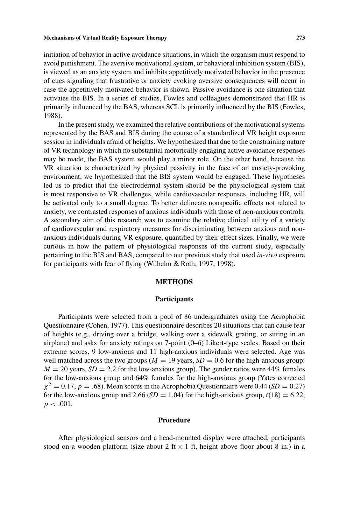initiation of behavior in active avoidance situations, in which the organism must respond to avoid punishment. The aversive motivational system, or behavioral inhibition system (BIS), is viewed as an anxiety system and inhibits appetitively motivated behavior in the presence of cues signaling that frustrative or anxiety evoking aversive consequences will occur in case the appetitively motivated behavior is shown. Passive avoidance is one situation that activates the BIS. In a series of studies, Fowles and colleagues demonstrated that HR is primarily influenced by the BAS, whereas SCL is primarily influenced by the BIS (Fowles, 1988).

In the present study, we examined the relative contributions of the motivational systems represented by the BAS and BIS during the course of a standardized VR height exposure session in individuals afraid of heights. We hypothesized that due to the constraining nature of VR technology in which no substantial motorically engaging active avoidance responses may be made, the BAS system would play a minor role. On the other hand, because the VR situation is characterized by physical passivity in the face of an anxiety-provoking environment, we hypothesized that the BIS system would be engaged. These hypotheses led us to predict that the electrodermal system should be the physiological system that is most responsive to VR challenges, while cardiovascular responses, including HR, will be activated only to a small degree. To better delineate nonspecific effects not related to anxiety, we contrasted responses of anxious individuals with those of non-anxious controls. A secondary aim of this research was to examine the relative clinical utility of a variety of cardiovascular and respiratory measures for discriminating between anxious and nonanxious individuals during VR exposure, quantified by their effect sizes. Finally, we were curious in how the pattern of physiological responses of the current study, especially pertaining to the BIS and BAS, compared to our previous study that used *in-vivo* exposure for participants with fear of flying (Wilhelm & Roth, 1997, 1998).

## **METHODS**

## **Participants**

Participants were selected from a pool of 86 undergraduates using the Acrophobia Questionnaire (Cohen, 1977). This questionnaire describes 20 situations that can cause fear of heights (e.g., driving over a bridge, walking over a sidewalk grating, or sitting in an airplane) and asks for anxiety ratings on 7-point (0–6) Likert-type scales. Based on their extreme scores, 9 low-anxious and 11 high-anxious individuals were selected. Age was well matched across the two groups ( $M = 19$  years,  $SD = 0.6$  for the high-anxious group;  $M = 20$  years,  $SD = 2.2$  for the low-anxious group). The gender ratios were 44% females for the low-anxious group and 64% females for the high-anxious group (Yates corrected  $\chi^2 = 0.17$ ,  $p = .68$ ). Mean scores in the Acrophobia Questionnaire were 0.44 (*SD* = 0.27) for the low-anxious group and 2.66 (*SD* = 1.04) for the high-anxious group,  $t(18) = 6.22$ ,  $p < .001$ .

## **Procedure**

After physiological sensors and a head-mounted display were attached, participants stood on a wooden platform (size about 2 ft  $\times$  1 ft, height above floor about 8 in.) in a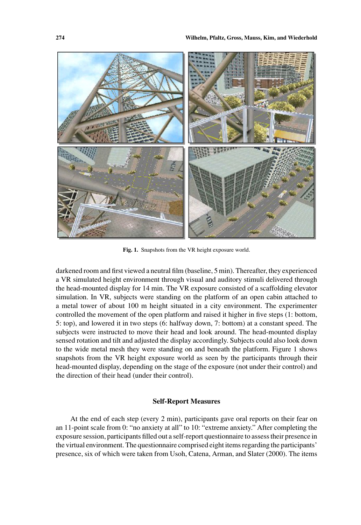

**Fig. 1.** Snapshots from the VR height exposure world.

darkened room and first viewed a neutral film (baseline, 5 min). Thereafter, they experienced a VR simulated height environment through visual and auditory stimuli delivered through the head-mounted display for 14 min. The VR exposure consisted of a scaffolding elevator simulation. In VR, subjects were standing on the platform of an open cabin attached to a metal tower of about 100 m height situated in a city environment. The experimenter controlled the movement of the open platform and raised it higher in five steps (1: bottom, 5: top), and lowered it in two steps (6: halfway down, 7: bottom) at a constant speed. The subjects were instructed to move their head and look around. The head-mounted display sensed rotation and tilt and adjusted the display accordingly. Subjects could also look down to the wide metal mesh they were standing on and beneath the platform. Figure 1 shows snapshots from the VR height exposure world as seen by the participants through their head-mounted display, depending on the stage of the exposure (not under their control) and the direction of their head (under their control).

## **Self-Report Measures**

At the end of each step (every 2 min), participants gave oral reports on their fear on an 11-point scale from 0: "no anxiety at all" to 10: "extreme anxiety." After completing the exposure session, participants filled out a self-report questionnaire to assess their presence in the virtual environment. The questionnaire comprised eight items regarding the participants' presence, six of which were taken from Usoh, Catena, Arman, and Slater (2000). The items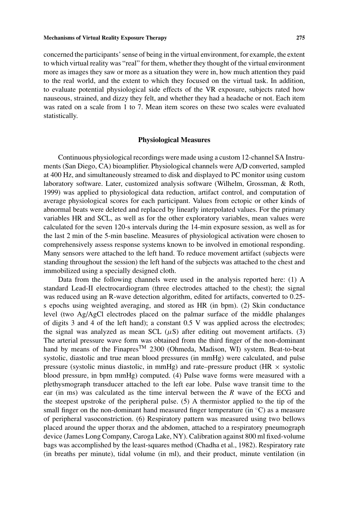concerned the participants' sense of being in the virtual environment, for example, the extent to which virtual reality was "real" for them, whether they thought of the virtual environment more as images they saw or more as a situation they were in, how much attention they paid to the real world, and the extent to which they focused on the virtual task. In addition, to evaluate potential physiological side effects of the VR exposure, subjects rated how nauseous, strained, and dizzy they felt, and whether they had a headache or not. Each item was rated on a scale from 1 to 7. Mean item scores on these two scales were evaluated statistically.

#### **Physiological Measures**

Continuous physiological recordings were made using a custom 12-channel SA Instruments (San Diego, CA) bioamplifier. Physiological channels were A/D converted, sampled at 400 Hz, and simultaneously streamed to disk and displayed to PC monitor using custom laboratory software. Later, customized analysis software (Wilhelm, Grossman, & Roth, 1999) was applied to physiological data reduction, artifact control, and computation of average physiological scores for each participant. Values from ectopic or other kinds of abnormal beats were deleted and replaced by linearly interpolated values. For the primary variables HR and SCL, as well as for the other exploratory variables, mean values were calculated for the seven 120-s intervals during the 14-min exposure session, as well as for the last 2 min of the 5-min baseline. Measures of physiological activation were chosen to comprehensively assess response systems known to be involved in emotional responding. Many sensors were attached to the left hand. To reduce movement artifact (subjects were standing throughout the session) the left hand of the subjects was attached to the chest and immobilized using a specially designed cloth.

Data from the following channels were used in the analysis reported here: (1) A standard Lead-II electrocardiogram (three electrodes attached to the chest); the signal was reduced using an R-wave detection algorithm, edited for artifacts, converted to 0.25 s epochs using weighted averaging, and stored as HR (in bpm). (2) Skin conductance level (two Ag/AgCl electrodes placed on the palmar surface of the middle phalanges of digits 3 and 4 of the left hand); a constant 0.5 V was applied across the electrodes; the signal was analyzed as mean SCL  $(\mu S)$  after editing out movement artifacts. (3) The arterial pressure wave form was obtained from the third finger of the non-dominant hand by means of the Finapres<sup>TM</sup> 2300 (Ohmeda, Madison, WI) system. Beat-to-beat systolic, diastolic and true mean blood pressures (in mmHg) were calculated, and pulse pressure (systolic minus diastolic, in mmHg) and rate–pressure product (HR  $\times$  systolic blood pressure, in bpm mmHg) computed. (4) Pulse wave forms were measured with a plethysmograph transducer attached to the left ear lobe. Pulse wave transit time to the ear (in ms) was calculated as the time interval between the *R* wave of the ECG and the steepest upstroke of the peripheral pulse. (5) A thermistor applied to the tip of the small finger on the non-dominant hand measured finger temperature (in  $\rm{°C}$ ) as a measure of peripheral vasoconstriction. (6) Respiratory pattern was measured using two bellows placed around the upper thorax and the abdomen, attached to a respiratory pneumograph device (James Long Company, Caroga Lake, NY). Calibration against 800 ml fixed-volume bags was accomplished by the least-squares method (Chadha et al., 1982). Respiratory rate (in breaths per minute), tidal volume (in ml), and their product, minute ventilation (in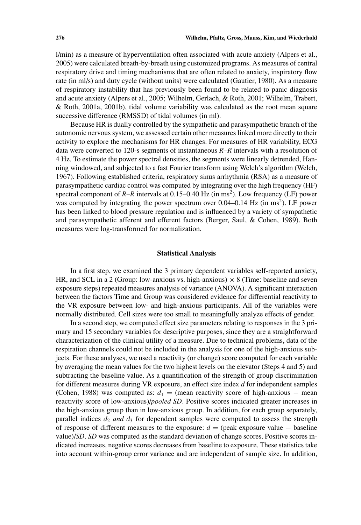l/min) as a measure of hyperventilation often associated with acute anxiety (Alpers et al., 2005) were calculated breath-by-breath using customized programs. As measures of central respiratory drive and timing mechanisms that are often related to anxiety, inspiratory flow rate (in ml/s) and duty cycle (without units) were calculated (Gautier, 1980). As a measure of respiratory instability that has previously been found to be related to panic diagnosis and acute anxiety (Alpers et al., 2005; Wilhelm, Gerlach, & Roth, 2001; Wilhelm, Trabert, & Roth, 2001a, 2001b), tidal volume variability was calculated as the root mean square successive difference (RMSSD) of tidal volumes (in ml).

Because HR is dually controlled by the sympathetic and parasympathetic branch of the autonomic nervous system, we assessed certain other measures linked more directly to their activity to explore the mechanisms for HR changes. For measures of HR variability, ECG data were converted to 120-s segments of instantaneous *R*–*R* intervals with a resolution of 4 Hz. To estimate the power spectral densities, the segments were linearly detrended, Hanning windowed, and subjected to a fast Fourier transform using Welch's algorithm (Welch, 1967). Following established criteria, respiratory sinus arrhythmia (RSA) as a measure of parasympathetic cardiac control was computed by integrating over the high frequency (HF) spectral component of  $R$ – $R$  intervals at 0.15–0.40 Hz (in ms<sup>2</sup>). Low frequency (LF) power was computed by integrating the power spectrum over  $0.04-0.14$  Hz (in ms<sup>2</sup>). LF power has been linked to blood pressure regulation and is influenced by a variety of sympathetic and parasympathetic afferent and efferent factors (Berger, Saul, & Cohen, 1989). Both measures were log-transformed for normalization.

# **Statistical Analysis**

In a first step, we examined the 3 primary dependent variables self-reported anxiety, HR, and SCL in a 2 (Group: low-anxious vs. high-anxious)  $\times$  8 (Time: baseline and seven exposure steps) repeated measures analysis of variance (ANOVA). A significant interaction between the factors Time and Group was considered evidence for differential reactivity to the VR exposure between low- and high-anxious participants. All of the variables were normally distributed. Cell sizes were too small to meaningfully analyze effects of gender.

In a second step, we computed effect size parameters relating to responses in the 3 primary and 15 secondary variables for descriptive purposes, since they are a straightforward characterization of the clinical utility of a measure. Due to technical problems, data of the respiration channels could not be included in the analysis for one of the high-anxious subjects. For these analyses, we used a reactivity (or change) score computed for each variable by averaging the mean values for the two highest levels on the elevator (Steps 4 and 5) and subtracting the baseline value. As a quantification of the strength of group discrimination for different measures during VR exposure, an effect size index *d* for independent samples (Cohen, 1988) was computed as:  $d_1$  = (mean reactivity score of high-anxious – mean reactivity score of low-anxious)/*pooled SD*. Positive scores indicated greater increases in the high-anxious group than in low-anxious group. In addition, for each group separately, parallel indices  $d_2$  *and*  $d_3$  for dependent samples were computed to assess the strength of response of different measures to the exposure: *d* = (peak exposure value − baseline value)/*SD*. *SD* was computed as the standard deviation of change scores. Positive scores indicated increases, negative scores decreases from baseline to exposure. These statistics take into account within-group error variance and are independent of sample size. In addition,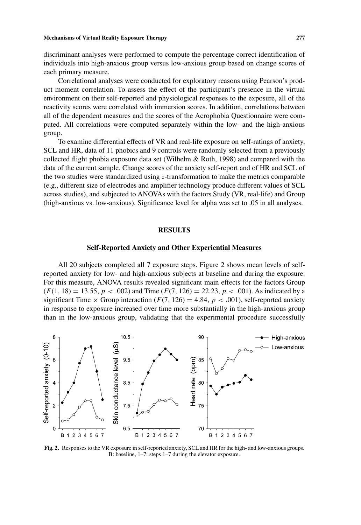discriminant analyses were performed to compute the percentage correct identification of individuals into high-anxious group versus low-anxious group based on change scores of each primary measure.

Correlational analyses were conducted for exploratory reasons using Pearson's product moment correlation. To assess the effect of the participant's presence in the virtual environment on their self-reported and physiological responses to the exposure, all of the reactivity scores were correlated with immersion scores. In addition, correlations between all of the dependent measures and the scores of the Acrophobia Questionnaire were computed. All correlations were computed separately within the low- and the high-anxious group.

To examine differential effects of VR and real-life exposure on self-ratings of anxiety, SCL and HR, data of 11 phobics and 9 controls were randomly selected from a previously collected flight phobia exposure data set (Wilhelm & Roth, 1998) and compared with the data of the current sample. Change scores of the anxiety self-report and of HR and SCL of the two studies were standardized using *z*-transformation to make the metrics comparable (e.g., different size of electrodes and amplifier technology produce different values of SCL across studies), and subjected to ANOVAs with the factors Study (VR, real-life) and Group (high-anxious vs. low-anxious). Significance level for alpha was set to .05 in all analyses.

#### **RESULTS**

# **Self-Reported Anxiety and Other Experiential Measures**

All 20 subjects completed all 7 exposure steps. Figure 2 shows mean levels of selfreported anxiety for low- and high-anxious subjects at baseline and during the exposure. For this measure, ANOVA results revealed significant main effects for the factors Group  $(F(1, 18) = 13.55, p < .002)$  and Time  $(F(7, 126) = 22.23, p < .001)$ . As indicated by a significant Time  $\times$  Group interaction ( $F(7, 126) = 4.84$ ,  $p < .001$ ), self-reported anxiety in response to exposure increased over time more substantially in the high-anxious group than in the low-anxious group, validating that the experimental procedure successfully



**Fig. 2.** Responses to the VR exposure in self-reported anxiety, SCL and HR for the high- and low-anxious groups. B: baseline, 1–7: steps 1–7 during the elevator exposure.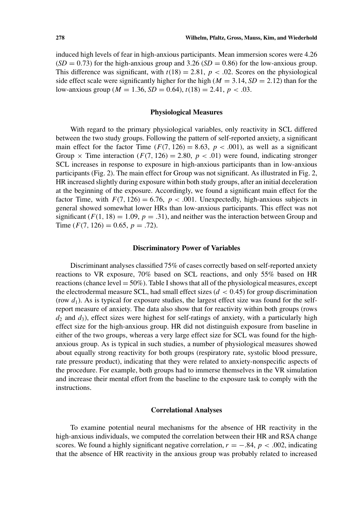induced high levels of fear in high-anxious participants. Mean immersion scores were 4.26  $(SD = 0.73)$  for the high-anxious group and 3.26  $(SD = 0.86)$  for the low-anxious group. This difference was significant, with  $t(18) = 2.81$ ,  $p < .02$ . Scores on the physiological side effect scale were significantly higher for the high ( $M = 3.14$ ,  $SD = 2.12$ ) than for the low-anxious group ( $M = 1.36$ ,  $SD = 0.64$ ),  $t(18) = 2.41$ ,  $p < .03$ .

#### **Physiological Measures**

With regard to the primary physiological variables, only reactivity in SCL differed between the two study groups. Following the pattern of self-reported anxiety, a significant main effect for the factor Time  $(F(7, 126) = 8.63, p < .001)$ , as well as a significant Group  $\times$  Time interaction ( $F(7, 126) = 2.80$ ,  $p < .01$ ) were found, indicating stronger SCL increases in response to exposure in high-anxious participants than in low-anxious participants (Fig. 2). The main effect for Group was not significant. As illustrated in Fig. 2, HR increased slightly during exposure within both study groups, after an initial deceleration at the beginning of the exposure. Accordingly, we found a significant main effect for the factor Time, with  $F(7, 126) = 6.76$ ,  $p < .001$ . Unexpectedly, high-anxious subjects in general showed somewhat lower HRs than low-anxious participants. This effect was not significant  $(F(1, 18) = 1.09, p = .31)$ , and neither was the interaction between Group and Time  $(F(7, 126) = 0.65, p = .72)$ .

## **Discriminatory Power of Variables**

Discriminant analyses classified 75% of cases correctly based on self-reported anxiety reactions to VR exposure, 70% based on SCL reactions, and only 55% based on HR reactions (chance level  $= 50\%$ ). Table I shows that all of the physiological measures, except the electrodermal measure SCL, had small effect sizes (*d <* 0*.*45) for group discrimination (row  $d_1$ ). As is typical for exposure studies, the largest effect size was found for the selfreport measure of anxiety. The data also show that for reactivity within both groups (rows  $d_2$  and  $d_3$ ), effect sizes were highest for self-ratings of anxiety, with a particularly high effect size for the high-anxious group. HR did not distinguish exposure from baseline in either of the two groups, whereas a very large effect size for SCL was found for the highanxious group. As is typical in such studies, a number of physiological measures showed about equally strong reactivity for both groups (respiratory rate, systolic blood pressure, rate pressure product), indicating that they were related to anxiety-nonspecific aspects of the procedure. For example, both groups had to immerse themselves in the VR simulation and increase their mental effort from the baseline to the exposure task to comply with the instructions.

# **Correlational Analyses**

To examine potential neural mechanisms for the absence of HR reactivity in the high-anxious individuals, we computed the correlation between their HR and RSA change scores. We found a highly significant negative correlation,  $r = -.84$ ,  $p < .002$ , indicating that the absence of HR reactivity in the anxious group was probably related to increased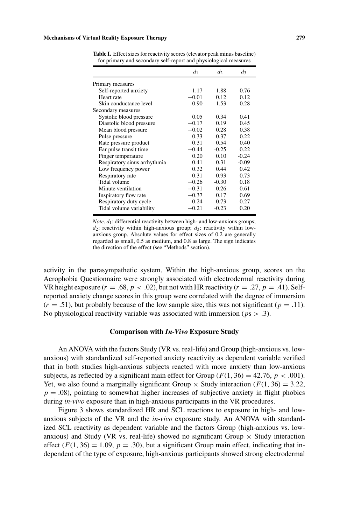|                              | d <sub>1</sub> | $d_2$   | $d_3$   |
|------------------------------|----------------|---------|---------|
| Primary measures             |                |         |         |
| Self-reported anxiety        | 1.17           | 1.88    | 0.76    |
| Heart rate                   | $-0.01$        | 0.12    | 0.12    |
| Skin conductance level       | 0.90           | 1.53    | 0.28    |
| Secondary measures           |                |         |         |
| Systolic blood pressure      | 0.05           | 0.34    | 0.41    |
| Diastolic blood pressure     | $-0.17$        | 0.19    | 0.45    |
| Mean blood pressure          | $-0.02$        | 0.28    | 0.38    |
| Pulse pressure               | 0.33           | 0.37    | 0.22    |
| Rate pressure product        | 0.31           | 0.54    | 0.40    |
| Ear pulse transit time       | $-0.44$        | $-0.25$ | 0.22    |
| Finger temperature           | 0.20           | 0.10    | $-0.24$ |
| Respiratory sinus arrhythmia | 0.41           | 0.31    | $-0.09$ |
| Low frequency power          | 0.32           | 0.44    | 0.42    |
| Respiratory rate             | 0.31           | 0.93    | 0.73    |
| Tidal volume                 | $-0.26$        | $-0.30$ | 0.18    |
| Minute ventilation           | $-0.31$        | 0.26    | 0.61    |
| Inspiratory flow rate        | $-0.37$        | 0.17    | 0.69    |
| Respiratory duty cycle       | 0.24           | 0.73    | 0.27    |
| Tidal volume variability     | $-0.21$        | $-0.23$ | 0.20    |
|                              |                |         |         |

**Table I.** Effect sizes for reactivity scores (elevator peak minus baseline) for primary and secondary self-report and physiological measures

*Note*. *d*1: differential reactivity between high- and low-anxious groups;  $d_2$ : reactivity within high-anxious group;  $d_3$ : reactivity within lowanxious group. Absolute values for effect sizes of 0.2 are generally regarded as small, 0.5 as medium, and 0.8 as large. The sign indicates the direction of the effect (see "Methods" section).

activity in the parasympathetic system. Within the high-anxious group, scores on the Acrophobia Questionnaire were strongly associated with electrodermal reactivity during VR height exposure  $(r = .68, p < .02)$ , but not with HR reactivity  $(r = .27, p = .41)$ . Selfreported anxiety change scores in this group were correlated with the degree of immersion  $(r = .51)$ , but probably because of the low sample size, this was not significant  $(p = .11)$ . No physiological reactivity variable was associated with immersion (*p*s *> .*3).

# **Comparison with** *In-Vivo* **Exposure Study**

An ANOVA with the factors Study (VR vs. real-life) and Group (high-anxious vs. lowanxious) with standardized self-reported anxiety reactivity as dependent variable verified that in both studies high-anxious subjects reacted with more anxiety than low-anxious subjects, as reflected by a significant main effect for Group  $(F(1, 36) = 42.76, p < .001)$ . Yet, we also found a marginally significant Group  $\times$  Study interaction ( $F(1, 36) = 3.22$ ,  $p = .08$ ), pointing to somewhat higher increases of subjective anxiety in flight phobics during *in-vivo* exposure than in high-anxious participants in the VR procedures.

Figure 3 shows standardized HR and SCL reactions to exposure in high- and lowanxious subjects of the VR and the *in-vivo* exposure study. An ANOVA with standardized SCL reactivity as dependent variable and the factors Group (high-anxious vs. lowanxious) and Study (VR vs. real-life) showed no significant Group  $\times$  Study interaction effect  $(F(1, 36) = 1.09, p = .30)$ , but a significant Group main effect, indicating that independent of the type of exposure, high-anxious participants showed strong electrodermal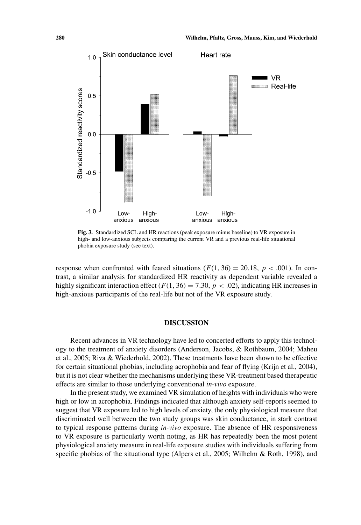

**Fig. 3.** Standardized SCL and HR reactions (peak exposure minus baseline) to VR exposure in high- and low-anxious subjects comparing the current VR and a previous real-life situational phobia exposure study (see text).

response when confronted with feared situations  $(F(1, 36) = 20.18, p < .001)$ . In contrast, a similar analysis for standardized HR reactivity as dependent variable revealed a highly significant interaction effect ( $F(1, 36) = 7.30$ ,  $p < .02$ ), indicating HR increases in high-anxious participants of the real-life but not of the VR exposure study.

## **DISCUSSION**

Recent advances in VR technology have led to concerted efforts to apply this technology to the treatment of anxiety disorders (Anderson, Jacobs, & Rothbaum, 2004; Maheu et al., 2005; Riva & Wiederhold, 2002). These treatments have been shown to be effective for certain situational phobias, including acrophobia and fear of flying (Krijn et al., 2004), but it is not clear whether the mechanisms underlying these VR-treatment based therapeutic effects are similar to those underlying conventional *in-vivo* exposure.

In the present study, we examined VR simulation of heights with individuals who were high or low in acrophobia. Findings indicated that although anxiety self-reports seemed to suggest that VR exposure led to high levels of anxiety, the only physiological measure that discriminated well between the two study groups was skin conductance, in stark contrast to typical response patterns during *in-vivo* exposure. The absence of HR responsiveness to VR exposure is particularly worth noting, as HR has repeatedly been the most potent physiological anxiety measure in real-life exposure studies with individuals suffering from specific phobias of the situational type (Alpers et al., 2005; Wilhelm & Roth, 1998), and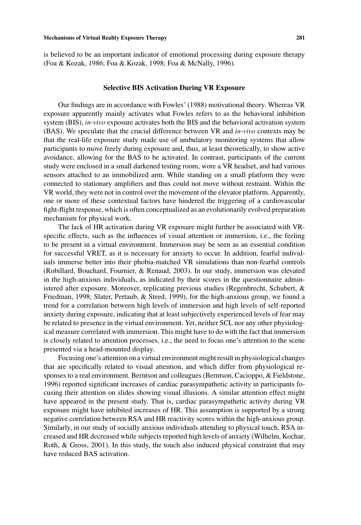is believed to be an important indicator of emotional processing during exposure therapy (Foa & Kozak, 1986; Foa & Kozak, 1998; Foa & McNally, 1996).

# **Selective BIS Activation During VR Exposure**

Our findings are in accordance with Fowles' (1988) motivational theory. Whereas VR exposure apparently mainly activates what Fowles refers to as the behavioral inhibition system (BIS), *in-vivo* exposure activates both the BIS and the behavioral activation system (BAS). We speculate that the crucial difference between VR and *in-vivo* contexts may be that the real-life exposure study made use of ambulatory monitoring systems that allow participants to move freely during exposure and, thus, at least theoretically, to show active avoidance, allowing for the BAS to be activated. In contrast, participants of the current study were enclosed in a small darkened testing room, wore a VR headset, and had various sensors attached to an immobilized arm. While standing on a small platform they were connected to stationary amplifiers and thus could not move without restraint. Within the VR world, they were not in control over the movement of the elevator platform. Apparently, one or more of these contextual factors have hindered the triggering of a cardiovascular fight-flight response, which is often conceptualized as an evolutionarily evolved preparation mechanism for physical work.

The lack of HR activation during VR exposure might further be associated with VRspecific effects, such as the influences of visual attention or immersion, i.e., the feeling to be present in a virtual environment. Immersion may be seen as an essential condition for successful VRET, as it is necessary for anxiety to occur. In addition, fearful individuals immerse better into their phobia-matched VR simulations than non-fearful controls (Robillard, Bouchard, Fournier, & Renaud, 2003). In our study, immersion was elevated in the high-anxious individuals, as indicated by their scores in the questionnaire administered after exposure. Moreover, replicating previous studies (Regenbrecht, Schubert, & Friedman, 1998; Slater, Pertaub, & Steed, 1999), for the high-anxious group, we found a trend for a correlation between high levels of immersion and high levels of self-reported anxiety during exposure, indicating that at least subjectively experienced levels of fear may be related to presence in the virtual environment. Yet, neither SCL nor any other physiological measure correlated with immersion. This might have to do with the fact that immersion is closely related to attention processes, i.e., the need to focus one's attention to the scene presented via a head-mounted display.

Focusing one's attention on a virtual environment might result in physiological changes that are specifically related to visual attention, and which differ from physiological responses to a real environment. Berntson and colleagues (Berntson, Cacioppo, & Fieldstone, 1996) reported significant increases of cardiac parasympathetic activity in participants focusing their attention on slides showing visual illusions. A similar attention effect might have appeared in the present study. That is, cardiac parasympathetic activity during VR exposure might have inhibited increases of HR. This assumption is supported by a strong negative correlation between RSA and HR reactivity scores within the high-anxious group. Similarly, in our study of socially anxious individuals attending to physical touch, RSA increased and HR decreased while subjects reported high levels of anxiety (Wilhelm, Kochar, Roth, & Gross, 2001). In this study, the touch also induced physical constraint that may have reduced BAS activation.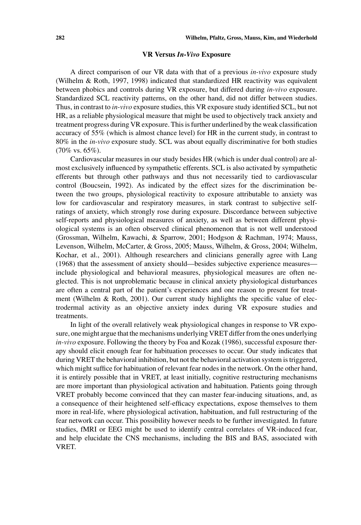#### **VR Versus** *In-Vivo* **Exposure**

A direct comparison of our VR data with that of a previous *in-vivo* exposure study (Wilhelm & Roth, 1997, 1998) indicated that standardized HR reactivity was equivalent between phobics and controls during VR exposure, but differed during *in-vivo* exposure. Standardized SCL reactivity patterns, on the other hand, did not differ between studies. Thus, in contrast to *in-vivo* exposure studies, this VR exposure study identified SCL, but not HR, as a reliable physiological measure that might be used to objectively track anxiety and treatment progress during VR exposure. This is further underlined by the weak classification accuracy of 55% (which is almost chance level) for HR in the current study, in contrast to 80% in the *in-vivo* exposure study. SCL was about equally discriminative for both studies  $(70\% \text{ vs. } 65\%).$ 

Cardiovascular measures in our study besides HR (which is under dual control) are almost exclusively influenced by sympathetic efferents. SCL is also activated by sympathetic efferents but through other pathways and thus not necessarily tied to cardiovascular control (Boucsein, 1992). As indicated by the effect sizes for the discrimination between the two groups, physiological reactivity to exposure attributable to anxiety was low for cardiovascular and respiratory measures, in stark contrast to subjective selfratings of anxiety, which strongly rose during exposure. Discordance between subjective self-reports and physiological measures of anxiety, as well as between different physiological systems is an often observed clinical phenomenon that is not well understood (Grossman, Wilhelm, Kawachi, & Sparrow, 2001; Hodgson & Rachman, 1974; Mauss, Levenson, Wilhelm, McCarter, & Gross, 2005; Mauss, Wilhelm, & Gross, 2004; Wilhelm, Kochar, et al., 2001). Although researchers and clinicians generally agree with Lang (1968) that the assessment of anxiety should—besides subjective experience measures include physiological and behavioral measures, physiological measures are often neglected. This is not unproblematic because in clinical anxiety physiological disturbances are often a central part of the patient's experiences and one reason to present for treatment (Wilhelm & Roth, 2001). Our current study highlights the specific value of electrodermal activity as an objective anxiety index during VR exposure studies and treatments.

In light of the overall relatively weak physiological changes in response to VR exposure, one might argue that the mechanisms underlying VRET differ from the ones underlying *in-vivo* exposure. Following the theory by Foa and Kozak (1986), successful exposure therapy should elicit enough fear for habituation processes to occur. Our study indicates that during VRET the behavioral inhibition, but not the behavioral activation system is triggered, which might suffice for habituation of relevant fear nodes in the network. On the other hand, it is entirely possible that in VRET, at least initially, cognitive restructuring mechanisms are more important than physiological activation and habituation. Patients going through VRET probably become convinced that they can master fear-inducing situations, and, as a consequence of their heightened self-efficacy expectations, expose themselves to them more in real-life, where physiological activation, habituation, and full restructuring of the fear network can occur. This possibility however needs to be further investigated. In future studies, fMRI or EEG might be used to identify central correlates of VR-induced fear, and help elucidate the CNS mechanisms, including the BIS and BAS, associated with VRET.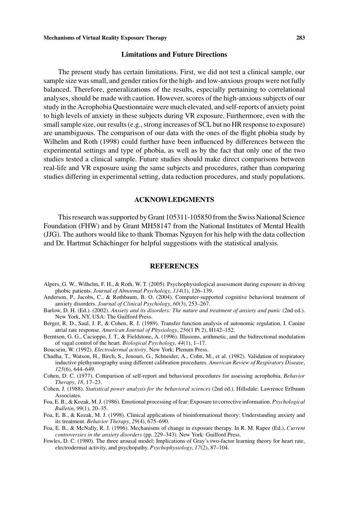### **Limitations and Future Directions**

The present study has certain limitations. First, we did not test a clinical sample, our sample size was small, and gender ratios for the high- and low-anxious groups were not fully balanced. Therefore, generalizations of the results, especially pertaining to correlational analyses, should be made with caution. However, scores of the high-anxious subjects of our study in the Acrophobia Questionnaire were much elevated, and self-reports of anxiety point to high levels of anxiety in these subjects during VR exposure. Furthermore, even with the small sample size, our results (e.g., strong increases of SCL but no HR response to exposure) are unambiguous. The comparison of our data with the ones of the flight phobia study by Wilhelm and Roth (1998) could further have been influenced by differences between the experimental settings and type of phobia, as well as by the fact that only one of the two studies tested a clinical sample. Future studies should make direct comparisons between real-life and VR exposure using the same subjects and procedures, rather than comparing studies differing in experimental setting, data reduction procedures, and study populations.

# **ACKNOWLEDGMENTS**

This research was supported by Grant 105311-105850 from the Swiss National Science Foundation (FHW) and by Grant MH58147 from the National Institutes of Mental Health (JJG). The authors would like to thank Thomas Nguyen for his help with the data collection and Dr. Hartmut Schächinger for helpful suggestions with the statistical analysis.

# **REFERENCES**

- Alpers, G. W., Wilhelm, F. H., & Roth, W. T. (2005). Psychophysiological assessment during exposure in driving phobic patients. *Journal of Abnormal Psychology*, *114*(1), 126–139.
- Anderson, P., Jacobs, C., & Rothbaum, B. O. (2004). Computer-supported cognitive behavioral treatment of anxiety disorders. *Journal of Clinical Psychology*, *60*(3), 253–267.
- Barlow, D. H. (Ed.). (2002). *Anxiety and its disorders: The nature and treatment of anxiety and panic* (2nd ed.). New York, NY, USA: The Guilford Press.
- Berger, R. D., Saul, J. P., & Cohen, R. J. (1989). Transfer function analysis of autonomic regulation. I. Canine atrial rate response. *American Journal of Physiology*, *256*(1 Pt 2), H142–152.
- Berntson, G. G., Cacioppo, J. T., & Fieldstone, A. (1996). Illusions, arithmetic, and the bidirectional modulation of vagal control of the heart. *Biological Psychology*, *44*(1), 1–17.
- Boucsein, W. (1992). *Electrodermal activity*. New York: Plenum Press.
- Chadha, T., Watson, H., Birch, S., Jenouri, G., Schneider, A., Cohn, M., et al. (1982). Validation of respiratory inductive plethysmography using different calibration procedures. *American Review of Respiratory Disease*, *125*(6), 644–649.
- Cohen, D. C. (1977). Comparison of self-report and behavioral procedures for assessing acrophobia. *Behavior Therapy*, *18,* 17–23.
- Cohen, J. (1988). *Statistical power analysis for the behavioral sciences* (2nd ed.). Hillsdale: Lawrence Erlbaum Associates.
- Foa, E. B., & Kozak, M. J. (1986). Emotional processing of fear: Exposure to corrective information. *Psychological Bulletin*, *99*(1), 20–35.
- Foa, E. B., & Kozak, M. J. (1998). Clinical applications of bioinformational theory: Understanding anxiety and its treatment. *Behavior Therapy*, *29*(4), 675–690.
- Foa, E. B., & McNally, R. J. (1996). Mechanisms of change in exposure therapy. In R. M. Rapee (Ed.), *Current controversies in the anxiety disorders* (pp. 229–343). New York: Guilford Press.
- Fowles, D. C. (1980). The three arousal model: Implications of Gray's two-factor learning theory for heart rate, electrodermal activity, and psychopathy. *Psychophysiology*, *17*(2), 87–104.